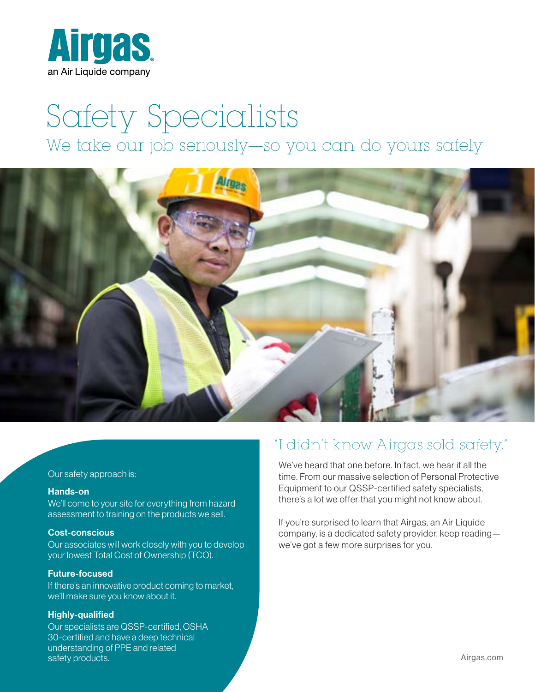

# Safety Specialists We take our job seriously—so you can do yours safely



#### Our safety approach is:

#### Hands-on

We'll come to your site for everything from hazard assessment to training on the products we sell.

#### Cost-conscious

Our associates will work closely with you to develop your lowest Total Cost of Ownership (TCO).

#### Future-focused

If there's an innovative product coming to market, we'll make sure you know about it.

#### Highly-qualified

Our specialists are QSSP-certified, OSHA 30-certified and have a deep technical understanding of PPE and related safety products.

# "I didn't know Airgas sold safety."

We've heard that one before. In fact, we hear it all the time. From our massive selection of Personal Protective Equipment to our QSSP-certified safety specialists, there's a lot we offer that you might not know about.

If you're surprised to learn that Airgas, an Air Liquide company, is a dedicated safety provider, keep reading we've got a few more surprises for you.